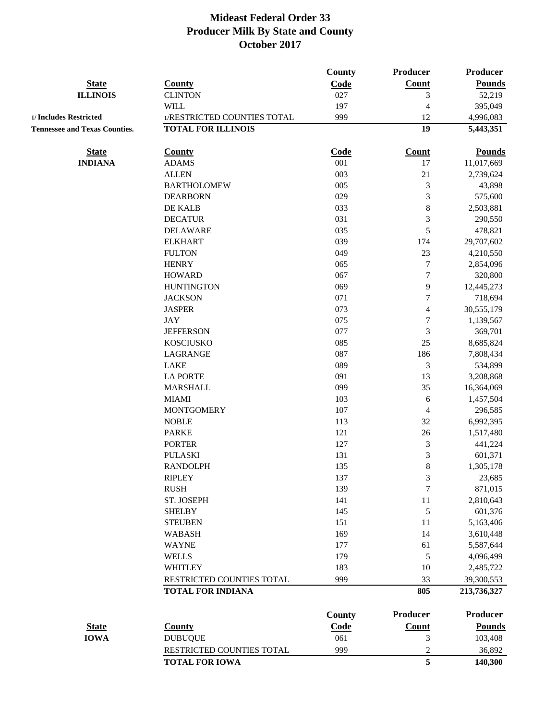|                                      |                             | <b>County</b>  | <b>Producer</b>  | Producer        |
|--------------------------------------|-----------------------------|----------------|------------------|-----------------|
| <b>State</b>                         | <b>County</b>               | Code           | Count            | <b>Pounds</b>   |
| <b>ILLINOIS</b>                      | <b>CLINTON</b>              | 027            | 3                | 52,219          |
|                                      | <b>WILL</b>                 | 197            | 4                | 395,049         |
| 1/ Includes Restricted               | 1/RESTRICTED COUNTIES TOTAL | 999            | 12               | 4,996,083       |
| <b>Tennessee and Texas Counties.</b> | <b>TOTAL FOR ILLINOIS</b>   |                | 19               | 5,443,351       |
| <b>State</b>                         | <b>County</b>               | Code           | Count            | <b>Pounds</b>   |
| <b>INDIANA</b>                       | <b>ADAMS</b>                | 001            | 17               | 11,017,669      |
|                                      | <b>ALLEN</b>                | 003            | $21\,$           | 2,739,624       |
|                                      | <b>BARTHOLOMEW</b>          | 005            | 3                | 43,898          |
|                                      | <b>DEARBORN</b>             | 029            | 3                | 575,600         |
|                                      | DE KALB                     | 033            | 8                | 2,503,881       |
|                                      | <b>DECATUR</b>              | 031            | 3                | 290,550         |
|                                      | <b>DELAWARE</b>             | 035            | 5                | 478,821         |
|                                      | <b>ELKHART</b>              | 039            | 174              | 29,707,602      |
|                                      | <b>FULTON</b>               | 049            | 23               | 4,210,550       |
|                                      | <b>HENRY</b>                | 065            | $\overline{7}$   | 2,854,096       |
|                                      | <b>HOWARD</b>               | 067            | $\boldsymbol{7}$ | 320,800         |
|                                      | <b>HUNTINGTON</b>           | 069            | 9                | 12,445,273      |
|                                      | <b>JACKSON</b>              | 071            | 7                | 718,694         |
|                                      | <b>JASPER</b>               | 073            | 4                | 30,555,179      |
|                                      | JAY                         | 075            | $\overline{7}$   | 1,139,567       |
|                                      | <b>JEFFERSON</b>            | 077            | 3                | 369,701         |
|                                      | <b>KOSCIUSKO</b>            | 085            | 25               | 8,685,824       |
|                                      | LAGRANGE                    | 087            | 186              | 7,808,434       |
|                                      | <b>LAKE</b>                 | 089            | 3                | 534,899         |
|                                      | <b>LA PORTE</b>             | 091            | 13               | 3,208,868       |
|                                      | <b>MARSHALL</b>             | 099            | 35               | 16,364,069      |
|                                      | <b>MIAMI</b>                | 103            | 6                | 1,457,504       |
|                                      | <b>MONTGOMERY</b>           | 107            | 4                | 296,585         |
|                                      | <b>NOBLE</b>                | 113            | 32               | 6,992,395       |
|                                      | <b>PARKE</b>                | 121            | 26               | 1,517,480       |
|                                      | <b>PORTER</b>               | 127            | 3                | 441,224         |
|                                      | <b>PULASKI</b>              | 131            | 3                | 601,371         |
|                                      | <b>RANDOLPH</b>             | 135            | 8                | 1,305,178       |
|                                      | <b>RIPLEY</b>               | 137            | $\mathfrak{Z}$   | 23,685          |
|                                      | <b>RUSH</b>                 | 139            | $\overline{7}$   | 871,015         |
|                                      | ST. JOSEPH                  | 141            | $11\,$           | 2,810,643       |
|                                      | <b>SHELBY</b>               | 145            | 5                | 601,376         |
|                                      | <b>STEUBEN</b>              | 151            | 11               | 5,163,406       |
|                                      | <b>WABASH</b>               | 169            | 14               | 3,610,448       |
|                                      | <b>WAYNE</b>                | 177            | 61               | 5,587,644       |
|                                      | <b>WELLS</b>                | 179            | 5                | 4,096,499       |
|                                      | <b>WHITLEY</b>              | 183            | 10               | 2,485,722       |
|                                      | RESTRICTED COUNTIES TOTAL   | 999            | 33               | 39,300,553      |
|                                      | <b>TOTAL FOR INDIANA</b>    |                | 805              | 213,736,327     |
|                                      |                             |                | <b>Producer</b>  | <b>Producer</b> |
| <b>State</b>                         | <b>County</b>               | County<br>Code | Count            | <b>Pounds</b>   |
| <b>IOWA</b>                          | <b>DUBUQUE</b>              | 061            | 3                | 103,408         |
|                                      | RESTRICTED COUNTIES TOTAL   | 999            | $\boldsymbol{2}$ | 36,892          |
|                                      | <b>TOTAL FOR IOWA</b>       |                | 5                | 140,300         |
|                                      |                             |                |                  |                 |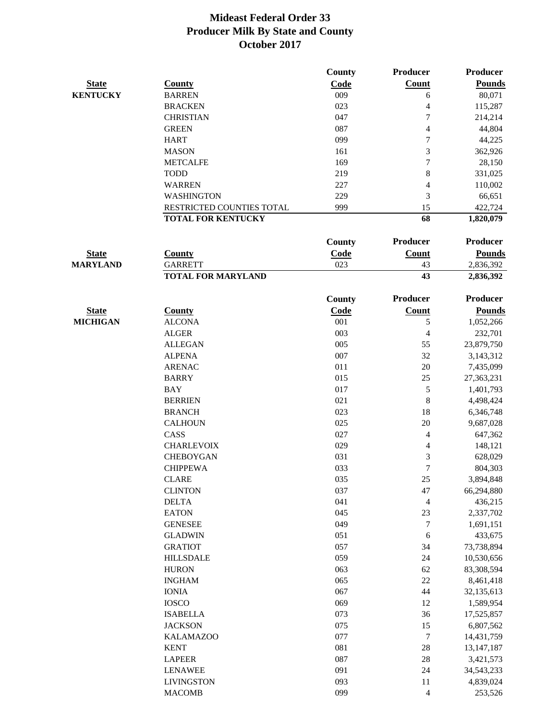|                 |                                  | County | <b>Producer</b> | Producer      |
|-----------------|----------------------------------|--------|-----------------|---------------|
| <b>State</b>    | County                           | Code   | Count           | <b>Pounds</b> |
| <b>KENTUCKY</b> | <b>BARREN</b>                    | 009    | 6               | 80,071        |
|                 | <b>BRACKEN</b>                   | 023    | 4               | 115,287       |
|                 | <b>CHRISTIAN</b>                 | 047    | 7               | 214,214       |
|                 | <b>GREEN</b>                     | 087    | 4               | 44,804        |
|                 | <b>HART</b>                      | 099    | 7               | 44,225        |
|                 | <b>MASON</b>                     | 161    | 3               | 362,926       |
|                 | <b>METCALFE</b>                  | 169    | 7               | 28,150        |
|                 | <b>TODD</b>                      | 219    | 8               | 331,025       |
|                 | <b>WARREN</b>                    | 227    | 4               | 110,002       |
|                 | <b>WASHINGTON</b>                | 229    | 3               | 66,651        |
|                 | <b>RESTRICTED COUNTIES TOTAL</b> | 999    | 15              | 422,724       |
|                 | <b>TOTAL FOR KENTUCKY</b>        |        | 68              | 1,820,079     |

|                 |                           | Countv | Producer | <b>Producer</b> |
|-----------------|---------------------------|--------|----------|-----------------|
| <b>State</b>    | County                    | Code   | Count    | Pounds          |
| <b>MARYLAND</b> | <b>GARRETT</b>            | 023    | 43       | 2,836,392       |
|                 | <b>TOTAL FOR MARYLAND</b> |        | 43       | 2,836,392       |

|                 |                   | <b>County</b> | <b>Producer</b>  | <b>Producer</b> |
|-----------------|-------------------|---------------|------------------|-----------------|
| <b>State</b>    | <b>County</b>     | Code          | Count            | <b>Pounds</b>   |
| <b>MICHIGAN</b> | <b>ALCONA</b>     | 001           | 5                | 1,052,266       |
|                 | <b>ALGER</b>      | 003           | 4                | 232,701         |
|                 | <b>ALLEGAN</b>    | 005           | 55               | 23,879,750      |
|                 | <b>ALPENA</b>     | 007           | 32               | 3,143,312       |
|                 | <b>ARENAC</b>     | 011           | 20               | 7,435,099       |
|                 | <b>BARRY</b>      | 015           | 25               | 27,363,231      |
|                 | <b>BAY</b>        | 017           | 5                | 1,401,793       |
|                 | <b>BERRIEN</b>    | 021           | 8                | 4,498,424       |
|                 | <b>BRANCH</b>     | 023           | 18               | 6,346,748       |
|                 | <b>CALHOUN</b>    | 025           | 20               | 9,687,028       |
|                 | CASS              | 027           | 4                | 647,362         |
|                 | <b>CHARLEVOIX</b> | 029           | $\overline{4}$   | 148,121         |
|                 | <b>CHEBOYGAN</b>  | 031           | 3                | 628,029         |
|                 | <b>CHIPPEWA</b>   | 033           | $\overline{7}$   | 804,303         |
|                 | <b>CLARE</b>      | 035           | 25               | 3,894,848       |
|                 | <b>CLINTON</b>    | 037           | 47               | 66,294,880      |
|                 | <b>DELTA</b>      | 041           | $\overline{4}$   | 436,215         |
|                 | <b>EATON</b>      | 045           | 23               | 2,337,702       |
|                 | <b>GENESEE</b>    | 049           | $\boldsymbol{7}$ | 1,691,151       |
|                 | <b>GLADWIN</b>    | 051           | 6                | 433,675         |
|                 | <b>GRATIOT</b>    | 057           | 34               | 73,738,894      |
|                 | <b>HILLSDALE</b>  | 059           | 24               | 10,530,656      |
|                 | <b>HURON</b>      | 063           | 62               | 83,308,594      |
|                 | <b>INGHAM</b>     | 065           | 22               | 8,461,418       |
|                 | <b>IONIA</b>      | 067           | 44               | 32,135,613      |
|                 | <b>IOSCO</b>      | 069           | 12               | 1,589,954       |
|                 | <b>ISABELLA</b>   | 073           | 36               | 17,525,857      |
|                 | <b>JACKSON</b>    | 075           | 15               | 6,807,562       |
|                 | <b>KALAMAZOO</b>  | 077           | $\boldsymbol{7}$ | 14,431,759      |
|                 | <b>KENT</b>       | 081           | 28               | 13, 147, 187    |
|                 | <b>LAPEER</b>     | 087           | 28               | 3,421,573       |
|                 | <b>LENAWEE</b>    | 091           | 24               | 34, 543, 233    |
|                 | <b>LIVINGSTON</b> | 093           | 11               | 4,839,024       |
|                 | <b>MACOMB</b>     | 099           | 4                | 253,526         |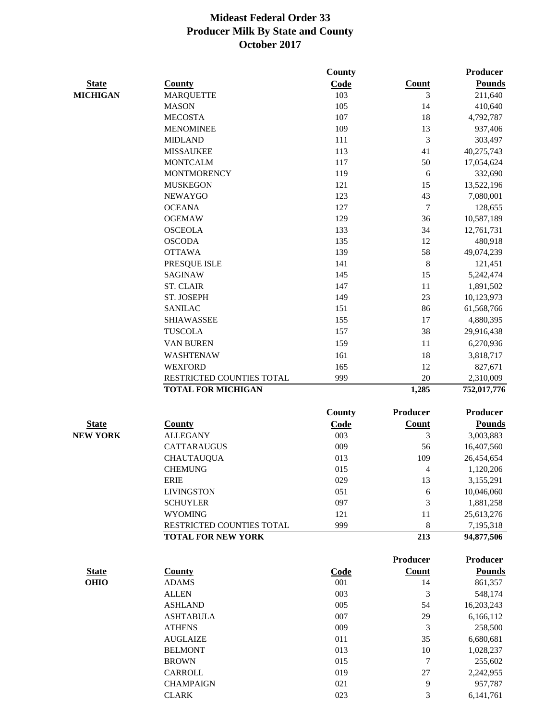|                 |                           | County        |                 | Producer        |
|-----------------|---------------------------|---------------|-----------------|-----------------|
| <b>State</b>    | <b>County</b>             | Code          | Count           | <b>Pounds</b>   |
| <b>MICHIGAN</b> | <b>MARQUETTE</b>          | 103           | 3               | 211,640         |
|                 | <b>MASON</b>              | 105           | 14              | 410,640         |
|                 | <b>MECOSTA</b>            | 107           | 18              | 4,792,787       |
|                 | <b>MENOMINEE</b>          | 109           | 13              | 937,406         |
|                 | <b>MIDLAND</b>            | 111           | $\mathfrak{Z}$  | 303,497         |
|                 | <b>MISSAUKEE</b>          | 113           | 41              | 40,275,743      |
|                 | <b>MONTCALM</b>           | 117           | 50              | 17,054,624      |
|                 | <b>MONTMORENCY</b>        | 119           | 6               | 332,690         |
|                 | <b>MUSKEGON</b>           | 121           | 15              | 13,522,196      |
|                 | <b>NEWAYGO</b>            | 123           | 43              | 7,080,001       |
|                 | <b>OCEANA</b>             | 127           | 7               | 128,655         |
|                 | <b>OGEMAW</b>             | 129           | 36              | 10,587,189      |
|                 | <b>OSCEOLA</b>            | 133           | 34              | 12,761,731      |
|                 | <b>OSCODA</b>             | 135           | 12              | 480,918         |
|                 | <b>OTTAWA</b>             | 139           | 58              | 49,074,239      |
|                 | PRESQUE ISLE              | 141           | $\,8\,$         | 121,451         |
|                 | <b>SAGINAW</b>            | 145           | 15              | 5,242,474       |
|                 | <b>ST. CLAIR</b>          | 147           | $11\,$          | 1,891,502       |
|                 | ST. JOSEPH                | 149           | 23              | 10,123,973      |
|                 | <b>SANILAC</b>            | 151           | 86              | 61,568,766      |
|                 | <b>SHIAWASSEE</b>         | 155           | 17              | 4,880,395       |
|                 | <b>TUSCOLA</b>            | 157           | 38              | 29,916,438      |
|                 | VAN BUREN                 | 159           | 11              | 6,270,936       |
|                 | WASHTENAW                 | 161           | 18              | 3,818,717       |
|                 | <b>WEXFORD</b>            | 165           | 12              | 827,671         |
|                 | RESTRICTED COUNTIES TOTAL | 999           | 20              | 2,310,009       |
|                 | <b>TOTAL FOR MICHIGAN</b> |               | 1,285           | 752,017,776     |
|                 |                           | <b>County</b> | <b>Producer</b> | <b>Producer</b> |
| <b>State</b>    | <b>County</b>             | Code          | <b>Count</b>    | <b>Pounds</b>   |
| <b>NEW YORK</b> | <b>ALLEGANY</b>           | 003           | 3               | 3,003,883       |
|                 | <b>CATTARAUGUS</b>        | 009           | 56              | 16,407,560      |
|                 | <b>CHAUTAUQUA</b>         | 013           | 109             | 26,454,654      |
|                 | <b>CHEMUNG</b>            | 015           | $\overline{4}$  | 1,120,206       |
|                 | ERIE                      | 029           | 13              | 3,155,291       |
|                 | <b>LIVINGSTON</b>         | 051           | 6               | 10,046,060      |
|                 | <b>SCHUYLER</b>           | 097           | 3               | 1,881,258       |
|                 | <b>WYOMING</b>            | 121           | 11              | 25,613,276      |
|                 | RESTRICTED COUNTIES TOTAL | 999           | 8               | 7,195,318       |
|                 | <b>TOTAL FOR NEW YORK</b> |               | 213             | 94,877,506      |
|                 |                           |               | Producer        | <b>Producer</b> |
| <b>State</b>    | <b>County</b>             | <b>Code</b>   | Count           | <b>Pounds</b>   |
| <b>OHIO</b>     | <b>ADAMS</b>              | 001           | 14              | 861,357         |
|                 | <b>ALLEN</b>              | 003           | 3               | 548,174         |
|                 | <b>ASHLAND</b>            | 005           | 54              | 16,203,243      |
|                 | <b>ASHTABULA</b>          | 007           | 29              | 6,166,112       |
|                 | <b>ATHENS</b>             | 009           | 3               | 258,500         |
|                 | <b>AUGLAIZE</b>           | 011           | 35              | 6,680,681       |
|                 | <b>BELMONT</b>            | 013           | 10              | 1,028,237       |
|                 | <b>BROWN</b>              | 015           | 7               | 255,602         |
|                 | CARROLL                   | 019           | 27              | 2,242,955       |
|                 | <b>CHAMPAIGN</b>          | 021           | 9               | 957,787         |
|                 | <b>CLARK</b>              | 023           | 3               | 6,141,761       |
|                 |                           |               |                 |                 |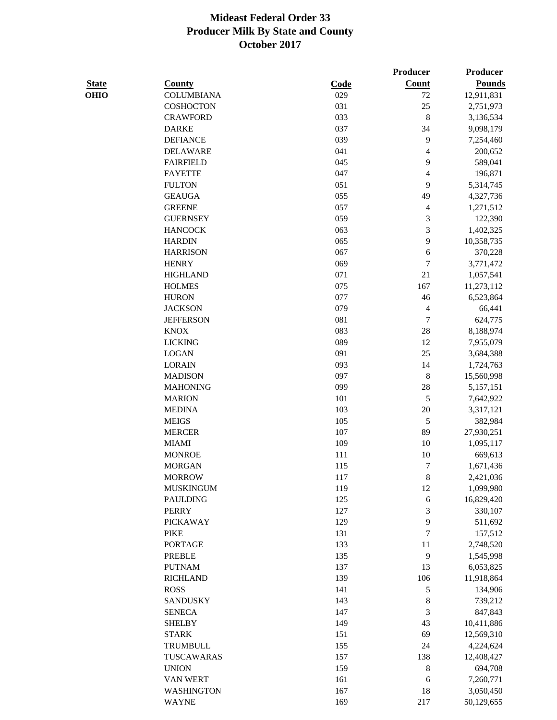|              |                   |      | <b>Producer</b>          | <b>Producer</b> |
|--------------|-------------------|------|--------------------------|-----------------|
| <b>State</b> | <b>County</b>     | Code | <b>Count</b>             | <b>Pounds</b>   |
| <b>OHIO</b>  | <b>COLUMBIANA</b> | 029  | 72                       | 12,911,831      |
|              | COSHOCTON         | 031  | 25                       | 2,751,973       |
|              | <b>CRAWFORD</b>   | 033  | $\,8\,$                  | 3,136,534       |
|              | <b>DARKE</b>      | 037  | 34                       | 9,098,179       |
|              | <b>DEFIANCE</b>   | 039  | 9                        | 7,254,460       |
|              | <b>DELAWARE</b>   | 041  | $\overline{4}$           | 200,652         |
|              | <b>FAIRFIELD</b>  | 045  | 9                        | 589,041         |
|              | <b>FAYETTE</b>    | 047  | $\overline{4}$           | 196,871         |
|              | <b>FULTON</b>     | 051  | 9                        | 5,314,745       |
|              | <b>GEAUGA</b>     | 055  | 49                       | 4,327,736       |
|              | <b>GREENE</b>     | 057  | $\overline{\mathcal{A}}$ | 1,271,512       |
|              | <b>GUERNSEY</b>   | 059  | $\mathfrak{Z}$           | 122,390         |
|              | <b>HANCOCK</b>    | 063  | 3                        | 1,402,325       |
|              | <b>HARDIN</b>     | 065  | 9                        | 10,358,735      |
|              | <b>HARRISON</b>   | 067  | $\sqrt{6}$               | 370,228         |
|              | <b>HENRY</b>      | 069  | $\tau$                   | 3,771,472       |
|              | <b>HIGHLAND</b>   | 071  | 21                       | 1,057,541       |
|              | <b>HOLMES</b>     | 075  | 167                      | 11,273,112      |
|              | <b>HURON</b>      | 077  | 46                       | 6,523,864       |
|              | <b>JACKSON</b>    | 079  | $\overline{4}$           | 66,441          |
|              | <b>JEFFERSON</b>  | 081  | $\overline{7}$           | 624,775         |
|              | <b>KNOX</b>       | 083  | $28\,$                   | 8,188,974       |
|              | <b>LICKING</b>    | 089  | 12                       | 7,955,079       |
|              | <b>LOGAN</b>      | 091  | 25                       | 3,684,388       |
|              | <b>LORAIN</b>     | 093  | 14                       | 1,724,763       |
|              | <b>MADISON</b>    | 097  | $\,8\,$                  | 15,560,998      |
|              | <b>MAHONING</b>   | 099  | 28                       | 5,157,151       |
|              | <b>MARION</b>     | 101  | 5                        | 7,642,922       |
|              | <b>MEDINA</b>     | 103  | $20\,$                   | 3,317,121       |
|              | <b>MEIGS</b>      | 105  | $\sqrt{5}$               | 382,984         |
|              | <b>MERCER</b>     | 107  | 89                       | 27,930,251      |
|              | <b>MIAMI</b>      | 109  | 10                       | 1,095,117       |
|              | <b>MONROE</b>     | 111  | 10                       | 669,613         |
|              | <b>MORGAN</b>     | 115  | $\tau$                   | 1,671,436       |
|              | <b>MORROW</b>     | 117  | $\,$ 8 $\,$              | 2,421,036       |
|              | <b>MUSKINGUM</b>  | 119  | 12                       | 1,099,980       |
|              | <b>PAULDING</b>   | 125  | 6                        | 16,829,420      |
|              | <b>PERRY</b>      | 127  | 3                        | 330,107         |
|              | <b>PICKAWAY</b>   | 129  | 9                        | 511,692         |
|              | <b>PIKE</b>       | 131  | $\tau$                   | 157,512         |
|              | <b>PORTAGE</b>    | 133  | 11                       | 2,748,520       |
|              | <b>PREBLE</b>     | 135  | 9                        | 1,545,998       |
|              | <b>PUTNAM</b>     | 137  | 13                       | 6,053,825       |
|              | <b>RICHLAND</b>   | 139  | 106                      | 11,918,864      |
|              | <b>ROSS</b>       | 141  | 5                        | 134,906         |
|              | <b>SANDUSKY</b>   | 143  | $\,$ 8 $\,$              | 739,212         |
|              | <b>SENECA</b>     | 147  | 3                        | 847,843         |
|              | <b>SHELBY</b>     | 149  | 43                       | 10,411,886      |
|              | <b>STARK</b>      | 151  | 69                       | 12,569,310      |
|              | TRUMBULL          | 155  | 24                       | 4,224,624       |
|              | TUSCAWARAS        | 157  | 138                      | 12,408,427      |
|              | <b>UNION</b>      | 159  | $\,$ 8 $\,$              | 694,708         |
|              | VAN WERT          | 161  | 6                        | 7,260,771       |
|              | <b>WASHINGTON</b> | 167  | 18                       | 3,050,450       |
|              | <b>WAYNE</b>      | 169  | 217                      |                 |
|              |                   |      |                          | 50,129,655      |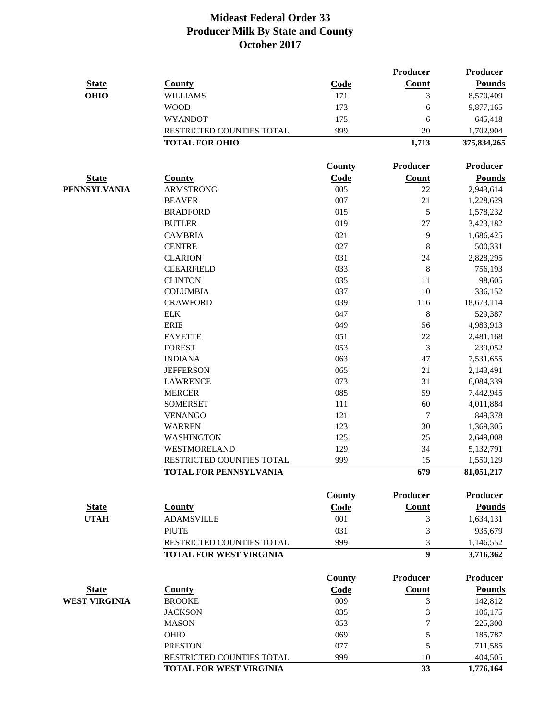|                      |                                                     |               | Producer         | <b>Producer</b>         |
|----------------------|-----------------------------------------------------|---------------|------------------|-------------------------|
| <b>State</b>         | <b>County</b>                                       | Code          | Count            | <b>Pounds</b>           |
| <b>OHIO</b>          | <b>WILLIAMS</b>                                     | 171           | 3                | 8,570,409               |
|                      | <b>WOOD</b>                                         | 173           | 6                | 9,877,165               |
|                      | <b>WYANDOT</b>                                      | 175           | 6                | 645,418                 |
|                      | RESTRICTED COUNTIES TOTAL                           | 999           | 20               | 1,702,904               |
|                      | <b>TOTAL FOR OHIO</b>                               |               | 1,713            | 375,834,265             |
|                      |                                                     | <b>County</b> | Producer         | <b>Producer</b>         |
| <b>State</b>         | <b>County</b>                                       | Code          | Count            | <b>Pounds</b>           |
| <b>PENNSYLVANIA</b>  | <b>ARMSTRONG</b>                                    | 005           | 22               | 2,943,614               |
|                      | <b>BEAVER</b>                                       | 007           | 21               | 1,228,629               |
|                      | <b>BRADFORD</b>                                     | 015           | 5                | 1,578,232               |
|                      | <b>BUTLER</b>                                       | 019           | 27               | 3,423,182               |
|                      | <b>CAMBRIA</b>                                      | 021           | 9                | 1,686,425               |
|                      | <b>CENTRE</b>                                       | 027           | 8                | 500,331                 |
|                      | <b>CLARION</b>                                      | 031           | 24               | 2,828,295               |
|                      | <b>CLEARFIELD</b>                                   | 033           | 8                | 756,193                 |
|                      | <b>CLINTON</b>                                      | 035           | 11               | 98,605                  |
|                      | <b>COLUMBIA</b>                                     | 037           | 10               | 336,152                 |
|                      | <b>CRAWFORD</b>                                     | 039           | 116              | 18,673,114              |
|                      | ${\rm ELK}$                                         | 047           | $\,8\,$          | 529,387                 |
|                      | <b>ERIE</b>                                         | 049           | 56               | 4,983,913               |
|                      | <b>FAYETTE</b>                                      | 051           | $22\,$           | 2,481,168               |
|                      | <b>FOREST</b>                                       | 053           | 3                | 239,052                 |
|                      | <b>INDIANA</b>                                      | 063           | 47               | 7,531,655               |
|                      | <b>JEFFERSON</b>                                    | 065           | 21               | 2,143,491               |
|                      | <b>LAWRENCE</b>                                     | 073           | 31               | 6,084,339               |
|                      | <b>MERCER</b>                                       | 085           | 59               | 7,442,945               |
|                      | <b>SOMERSET</b>                                     | 111           | 60               | 4,011,884               |
|                      | <b>VENANGO</b>                                      | 121           | 7                | 849,378                 |
|                      | <b>WARREN</b>                                       | 123           | 30               | 1,369,305               |
|                      | <b>WASHINGTON</b>                                   | 125           | 25               | 2,649,008               |
|                      | <b>WESTMORELAND</b>                                 | 129           | 34               | 5,132,791               |
|                      | RESTRICTED COUNTIES TOTAL<br>TOTAL FOR PENNSYLVANIA | 999           | 15<br>679        | 1,550,129<br>81,051,217 |
|                      |                                                     |               |                  |                         |
|                      |                                                     | County        | <b>Producer</b>  | <b>Producer</b>         |
| <b>State</b>         | <b>County</b>                                       | Code          | <b>Count</b>     | <b>Pounds</b>           |
| <b>UTAH</b>          | <b>ADAMSVILLE</b>                                   | 001           | 3                | 1,634,131               |
|                      | <b>PIUTE</b>                                        | 031           | 3                | 935,679                 |
|                      | RESTRICTED COUNTIES TOTAL                           | 999           | 3                | 1,146,552               |
|                      | <b>TOTAL FOR WEST VIRGINIA</b>                      |               | $\boldsymbol{9}$ | 3,716,362               |
|                      |                                                     | <b>County</b> | <b>Producer</b>  | <b>Producer</b>         |
| <b>State</b>         | <b>County</b>                                       | Code          | Count            | <b>Pounds</b>           |
| <b>WEST VIRGINIA</b> | <b>BROOKE</b>                                       | 009           | 3                | 142,812                 |
|                      | <b>JACKSON</b>                                      | 035           | 3                | 106,175                 |
|                      | <b>MASON</b>                                        | 053           | $\tau$           | 225,300                 |
|                      | <b>OHIO</b>                                         | 069           | 5                | 185,787                 |
|                      | <b>PRESTON</b>                                      | 077           | 5                | 711,585                 |
|                      | RESTRICTED COUNTIES TOTAL                           | 999           | 10               | 404,505                 |
|                      | TOTAL FOR WEST VIRGINIA                             |               | 33               | 1,776,164               |